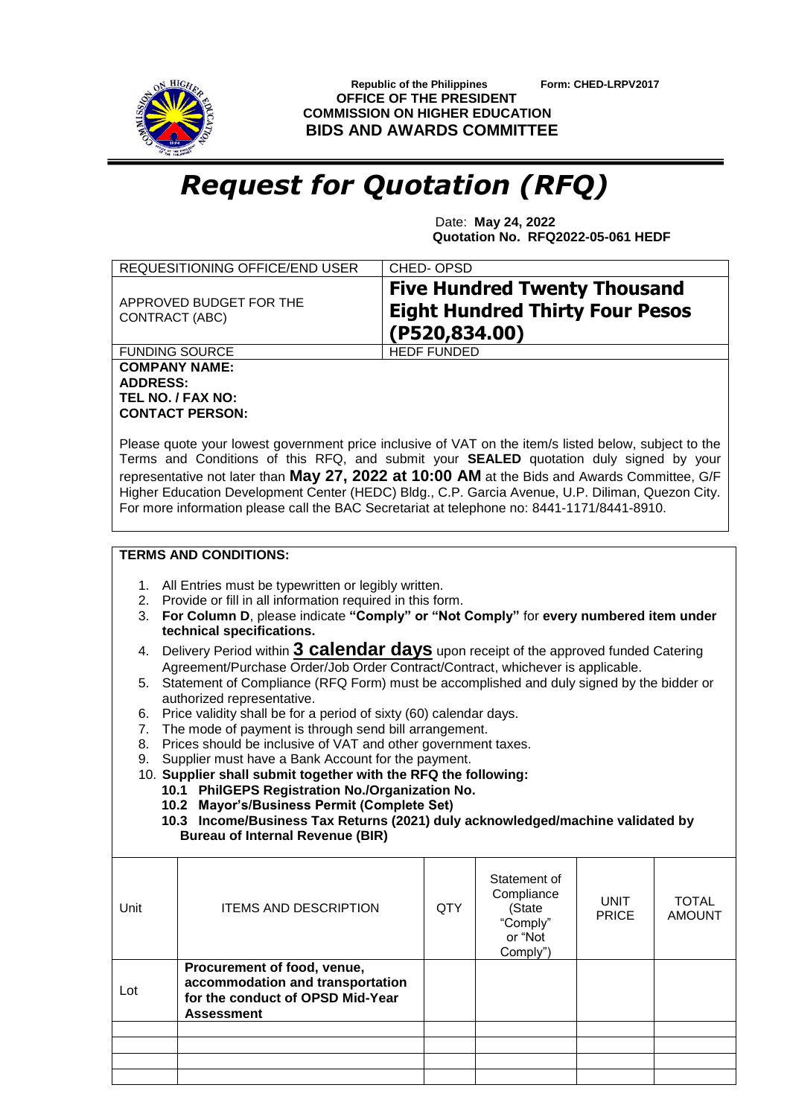

 **Republic of the Philippines Form: CHED-LRPV2017 OFFICE OF THE PRESIDENT COMMISSION ON HIGHER EDUCATION BIDS AND AWARDS COMMITTEE**

## *Request for Quotation (RFQ)*

 Date: **May 24, 2022 Quotation No. RFQ2022-05-061 HEDF**

| REQUESITIONING OFFICE/END USER            | CHED-OPSD                                                                                      |
|-------------------------------------------|------------------------------------------------------------------------------------------------|
| APPROVED BUDGET FOR THE<br>CONTRACT (ABC) | <b>Five Hundred Twenty Thousand</b><br><b>Eight Hundred Thirty Four Pesos</b><br>(P520,834.00) |
| <b>FUNDING SOURCE</b>                     | <b>HEDF FUNDED</b>                                                                             |
| <b>COMPANY NAME:</b>                      |                                                                                                |
| <b>ADDRESS:</b>                           |                                                                                                |
| TEL NO. / FAX NO:                         |                                                                                                |
| <b>CONTACT PERSON:</b>                    |                                                                                                |

Please quote your lowest government price inclusive of VAT on the item/s listed below, subject to the Terms and Conditions of this RFQ, and submit your **SEALED** quotation duly signed by your representative not later than **May 27, 2022 at 10:00 AM** at the Bids and Awards Committee, G/F Higher Education Development Center (HEDC) Bldg., C.P. Garcia Avenue, U.P. Diliman, Quezon City. For more information please call the BAC Secretariat at telephone no: 8441-1171/8441-8910.

## **TERMS AND CONDITIONS:**

- 1. All Entries must be typewritten or legibly written.
- 2. Provide or fill in all information required in this form.
- 3. **For Column D**, please indicate **"Comply" or "Not Comply"** for **every numbered item under technical specifications.**
- 4. Delivery Period within **3 calendar days** upon receipt of the approved funded Catering Agreement/Purchase Order/Job Order Contract/Contract, whichever is applicable.
- 5. Statement of Compliance (RFQ Form) must be accomplished and duly signed by the bidder or authorized representative.
- 6. Price validity shall be for a period of sixty (60) calendar days.
- 7. The mode of payment is through send bill arrangement.
- 8. Prices should be inclusive of VAT and other government taxes.
- 9. Supplier must have a Bank Account for the payment.
- 10. **Supplier shall submit together with the RFQ the following:**
	- **10.1 PhilGEPS Registration No./Organization No.**
	- **10.2 Mayor's/Business Permit (Complete Set)**
	- **10.3 Income/Business Tax Returns (2021) duly acknowledged/machine validated by Bureau of Internal Revenue (BIR)**

| Unit | <b>ITEMS AND DESCRIPTION</b>                                                                                             | <b>QTY</b> | Statement of<br>Compliance<br>(State<br>"Comply"<br>or "Not<br>Comply") | <b>UNIT</b><br><b>PRICE</b> | <b>TOTAL</b><br><b>AMOUNT</b> |
|------|--------------------------------------------------------------------------------------------------------------------------|------------|-------------------------------------------------------------------------|-----------------------------|-------------------------------|
| Lot  | Procurement of food, venue,<br>accommodation and transportation<br>for the conduct of OPSD Mid-Year<br><b>Assessment</b> |            |                                                                         |                             |                               |
|      |                                                                                                                          |            |                                                                         |                             |                               |
|      |                                                                                                                          |            |                                                                         |                             |                               |
|      |                                                                                                                          |            |                                                                         |                             |                               |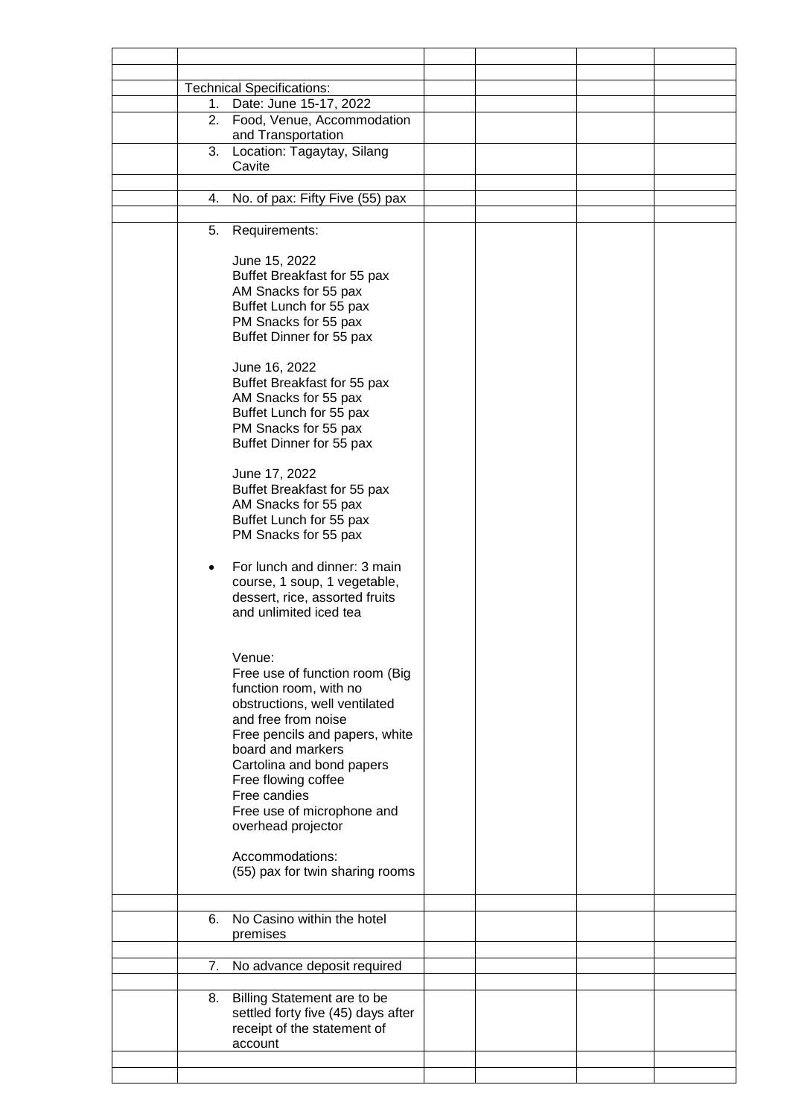|    | <b>Technical Specifications:</b>   |  |  |
|----|------------------------------------|--|--|
| 1. | Date: June 15-17, 2022             |  |  |
| 2. | Food, Venue, Accommodation         |  |  |
|    | and Transportation                 |  |  |
|    | 3. Location: Tagaytay, Silang      |  |  |
|    | Cavite                             |  |  |
|    |                                    |  |  |
| 4. | No. of pax: Fifty Five (55) pax    |  |  |
|    |                                    |  |  |
|    | 5. Requirements:                   |  |  |
|    |                                    |  |  |
|    | June 15, 2022                      |  |  |
|    | Buffet Breakfast for 55 pax        |  |  |
|    | AM Snacks for 55 pax               |  |  |
|    | Buffet Lunch for 55 pax            |  |  |
|    | PM Snacks for 55 pax               |  |  |
|    | Buffet Dinner for 55 pax           |  |  |
|    |                                    |  |  |
|    | June 16, 2022                      |  |  |
|    | Buffet Breakfast for 55 pax        |  |  |
|    | AM Snacks for 55 pax               |  |  |
|    | Buffet Lunch for 55 pax            |  |  |
|    | PM Snacks for 55 pax               |  |  |
|    | Buffet Dinner for 55 pax           |  |  |
|    |                                    |  |  |
|    | June 17, 2022                      |  |  |
|    | Buffet Breakfast for 55 pax        |  |  |
|    | AM Snacks for 55 pax               |  |  |
|    | Buffet Lunch for 55 pax            |  |  |
|    | PM Snacks for 55 pax               |  |  |
|    |                                    |  |  |
|    |                                    |  |  |
|    | For lunch and dinner: 3 main       |  |  |
|    | course, 1 soup, 1 vegetable,       |  |  |
|    | dessert, rice, assorted fruits     |  |  |
|    | and unlimited iced tea             |  |  |
|    |                                    |  |  |
|    |                                    |  |  |
|    | Venue:                             |  |  |
|    | Free use of function room (Big     |  |  |
|    | function room, with no             |  |  |
|    | obstructions, well ventilated      |  |  |
|    | and free from noise                |  |  |
|    | Free pencils and papers, white     |  |  |
|    | board and markers                  |  |  |
|    | Cartolina and bond papers          |  |  |
|    | Free flowing coffee                |  |  |
|    | Free candies                       |  |  |
|    | Free use of microphone and         |  |  |
|    | overhead projector                 |  |  |
|    |                                    |  |  |
|    | Accommodations:                    |  |  |
|    | (55) pax for twin sharing rooms    |  |  |
|    |                                    |  |  |
|    |                                    |  |  |
| 6. | No Casino within the hotel         |  |  |
|    | premises                           |  |  |
|    |                                    |  |  |
| 7. | No advance deposit required        |  |  |
|    |                                    |  |  |
| 8. | Billing Statement are to be        |  |  |
|    | settled forty five (45) days after |  |  |
|    | receipt of the statement of        |  |  |
|    | account                            |  |  |
|    |                                    |  |  |
|    |                                    |  |  |